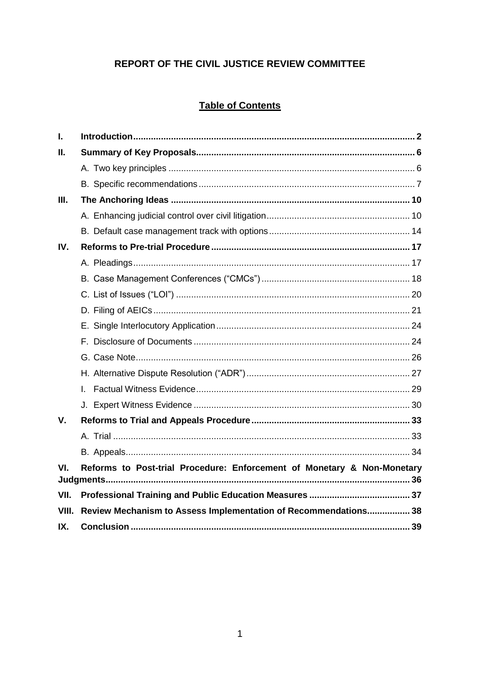## REPORT OF THE CIVIL JUSTICE REVIEW COMMITTEE

# **Table of Contents**

| I.    |                                                                         |  |
|-------|-------------------------------------------------------------------------|--|
| н.    |                                                                         |  |
|       |                                                                         |  |
|       |                                                                         |  |
| Ш.    |                                                                         |  |
|       |                                                                         |  |
|       |                                                                         |  |
| IV.   |                                                                         |  |
|       |                                                                         |  |
|       |                                                                         |  |
|       |                                                                         |  |
|       |                                                                         |  |
|       |                                                                         |  |
|       |                                                                         |  |
|       |                                                                         |  |
|       |                                                                         |  |
|       | L                                                                       |  |
|       |                                                                         |  |
| V.    |                                                                         |  |
|       |                                                                         |  |
|       |                                                                         |  |
| VI.   | Reforms to Post-trial Procedure: Enforcement of Monetary & Non-Monetary |  |
| VII.  |                                                                         |  |
| VIII. | Review Mechanism to Assess Implementation of Recommendations 38         |  |
| IX.   |                                                                         |  |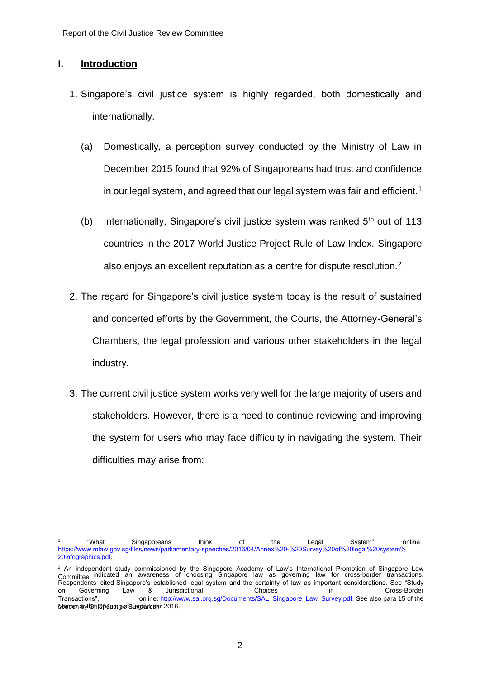## <span id="page-1-0"></span>**I. Introduction**

- 1. Singapore's civil justice system is highly regarded, both domestically and internationally.
	- (a) Domestically, a perception survey conducted by the Ministry of Law in December 2015 found that 92% of Singaporeans had trust and confidence in our legal system, and agreed that our legal system was fair and efficient.<sup>1</sup>
	- (b) Internationally, Singapore's civil justice system was ranked  $5<sup>th</sup>$  out of 113 countries in the 2017 World Justice Project Rule of Law Index. Singapore also enjoys an excellent reputation as a centre for dispute resolution.<sup>2</sup>
- 2. The regard for Singapore's civil justice system today is the result of sustained and concerted efforts by the Government, the Courts, the Attorney-General's Chambers, the legal profession and various other stakeholders in the legal industry.
- 3. The current civil justice system works very well for the large majority of users and stakeholders. However, there is a need to continue reviewing and improving the system for users who may face difficulty in navigating the system. Their difficulties may arise from:

<sup>1</sup> "What Singaporeans think of the Legal System", online: [https://www.mlaw.gov.sg/files/news/parliamentary-speeches/2016/04/Annex%20-%20Survey%20of%20legal%20system%](https://www.mlaw.gov.sg/files/news/parliamentary-speeches/2016/04/Annex%20-%20Survey%20of%20legal%20system%20infographics.pdf) [20i](https://www.mlaw.gov.sg/files/news/parliamentary-speeches/2016/04/Annex%20-%20Survey%20of%20legal%20system%20infographics.pdf)nfographics.pdf.

<sup>&</sup>lt;sup>2</sup> An independent study commissioned by the Singapore Academy of Law's International Promotion of Singapore Law<br>Committee <sup>indicated an awareness of choosing Singapore law as governing law for cross-border transactions.<br>R</sup> on Governing Law & Jurisdictional Choices in Cross-Border Transactions", online: http://www.sal.org.sg/Documents/SAL\_Singapore\_Law\_Survey.pdf. See also para 15 of the sterech at vich Godostice Sungativesh 72016.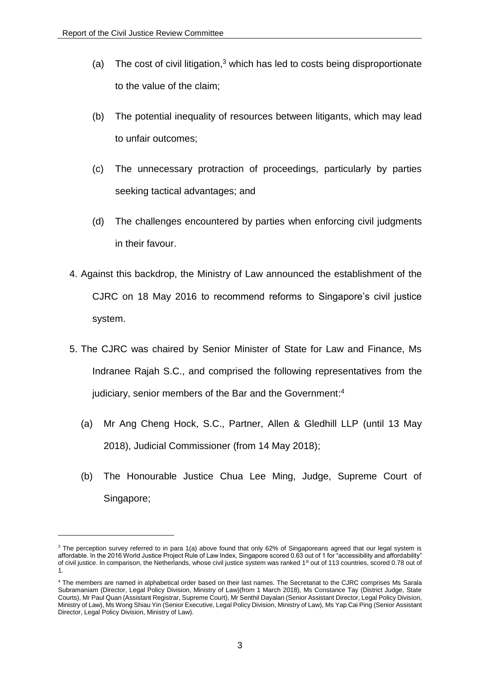- (a) The cost of civil litigation,<sup>3</sup> which has led to costs being disproportionate to the value of the claim;
- (b) The potential inequality of resources between litigants, which may lead to unfair outcomes;
- (c) The unnecessary protraction of proceedings, particularly by parties seeking tactical advantages; and
- (d) The challenges encountered by parties when enforcing civil judgments in their favour.
- 4. Against this backdrop, the Ministry of Law announced the establishment of the CJRC on 18 May 2016 to recommend reforms to Singapore's civil justice system.
- 5. The CJRC was chaired by Senior Minister of State for Law and Finance, Ms Indranee Rajah S.C., and comprised the following representatives from the judiciary, senior members of the Bar and the Government:<sup>4</sup>
	- (a) Mr Ang Cheng Hock, S.C., Partner, Allen & Gledhill LLP (until 13 May 2018), Judicial Commissioner (from 14 May 2018);
	- (b) The Honourable Justice Chua Lee Ming, Judge, Supreme Court of Singapore;

<sup>&</sup>lt;sup>3</sup> The perception survey referred to in para 1(a) above found that only 62% of Singaporeans agreed that our legal system is affordable. In the 2016 World Justice Project Rule of Law Index, Singapore scored 0.63 out of 1 for "accessibility and affordability" of civil justice. In comparison, the Netherlands, whose civil justice system was ranked 1<sup>st</sup> out of 113 countries, scored 0.78 out of 1.

<sup>4</sup> The members are named in alphabetical order based on their last names. The Secretariat to the CJRC comprises Ms Sarala Subramaniam (Director, Legal Policy Division, Ministry of Law)(from 1 March 2018), Ms Constance Tay (District Judge, State Courts), Mr Paul Quan (Assistant Registrar, Supreme Court), Mr Senthil Dayalan (Senior Assistant Director, Legal Policy Division, Ministry of Law), Ms Wong Shiau Yin (Senior Executive, Legal Policy Division, Ministry of Law), Ms Yap Cai Ping (Senior Assistant Director, Legal Policy Division, Ministry of Law).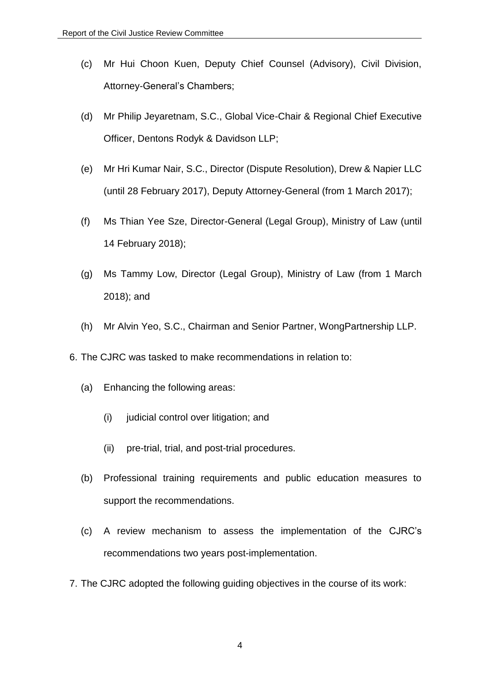- (c) Mr Hui Choon Kuen, Deputy Chief Counsel (Advisory), Civil Division, Attorney-General's Chambers;
- (d) Mr Philip Jeyaretnam, S.C., Global Vice-Chair & Regional Chief Executive Officer, Dentons Rodyk & Davidson LLP;
- (e) Mr Hri Kumar Nair, S.C., Director (Dispute Resolution), Drew & Napier LLC (until 28 February 2017), Deputy Attorney-General (from 1 March 2017);
- (f) Ms Thian Yee Sze, Director-General (Legal Group), Ministry of Law (until 14 February 2018);
- (g) Ms Tammy Low, Director (Legal Group), Ministry of Law (from 1 March 2018); and
- (h) Mr Alvin Yeo, S.C., Chairman and Senior Partner, WongPartnership LLP.
- 6. The CJRC was tasked to make recommendations in relation to:
	- (a) Enhancing the following areas:
		- (i) judicial control over litigation; and
		- (ii) pre-trial, trial, and post-trial procedures.
	- (b) Professional training requirements and public education measures to support the recommendations.
	- (c) A review mechanism to assess the implementation of the CJRC's recommendations two years post-implementation.
- 7. The CJRC adopted the following guiding objectives in the course of its work: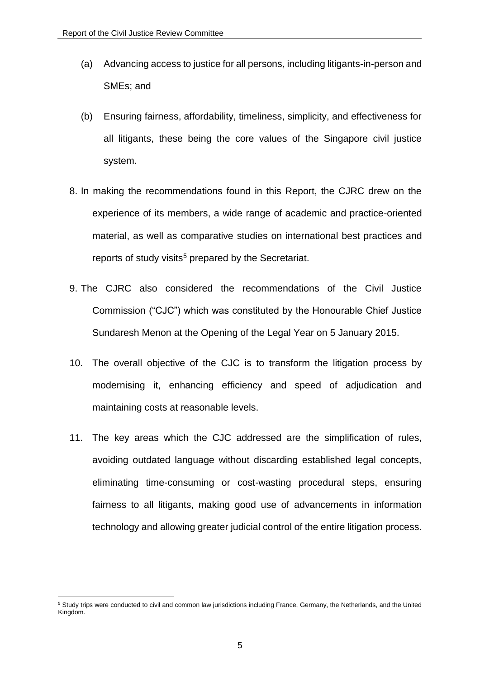- (a) Advancing access to justice for all persons, including litigants-in-person and SMEs; and
- (b) Ensuring fairness, affordability, timeliness, simplicity, and effectiveness for all litigants, these being the core values of the Singapore civil justice system.
- 8. In making the recommendations found in this Report, the CJRC drew on the experience of its members, a wide range of academic and practice-oriented material, as well as comparative studies on international best practices and reports of study visits<sup>5</sup> prepared by the Secretariat.
- 9. The CJRC also considered the recommendations of the Civil Justice Commission ("CJC") which was constituted by the Honourable Chief Justice Sundaresh Menon at the Opening of the Legal Year on 5 January 2015.
- 10. The overall objective of the CJC is to transform the litigation process by modernising it, enhancing efficiency and speed of adjudication and maintaining costs at reasonable levels.
- 11. The key areas which the CJC addressed are the simplification of rules, avoiding outdated language without discarding established legal concepts, eliminating time-consuming or cost-wasting procedural steps, ensuring fairness to all litigants, making good use of advancements in information technology and allowing greater judicial control of the entire litigation process.

<sup>&</sup>lt;sup>5</sup> Study trips were conducted to civil and common law jurisdictions including France, Germany, the Netherlands, and the United Kingdom.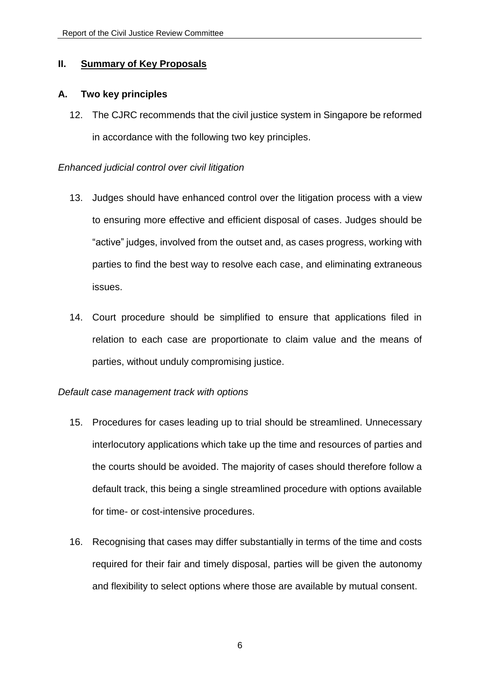## <span id="page-5-0"></span>**II. Summary of Key Proposals**

## <span id="page-5-1"></span>**A. Two key principles**

12. The CJRC recommends that the civil justice system in Singapore be reformed in accordance with the following two key principles.

## *Enhanced judicial control over civil litigation*

- 13. Judges should have enhanced control over the litigation process with a view to ensuring more effective and efficient disposal of cases. Judges should be "active" judges, involved from the outset and, as cases progress, working with parties to find the best way to resolve each case, and eliminating extraneous issues.
- 14. Court procedure should be simplified to ensure that applications filed in relation to each case are proportionate to claim value and the means of parties, without unduly compromising justice.

## *Default case management track with options*

- 15. Procedures for cases leading up to trial should be streamlined. Unnecessary interlocutory applications which take up the time and resources of parties and the courts should be avoided. The majority of cases should therefore follow a default track, this being a single streamlined procedure with options available for time- or cost-intensive procedures.
- 16. Recognising that cases may differ substantially in terms of the time and costs required for their fair and timely disposal, parties will be given the autonomy and flexibility to select options where those are available by mutual consent.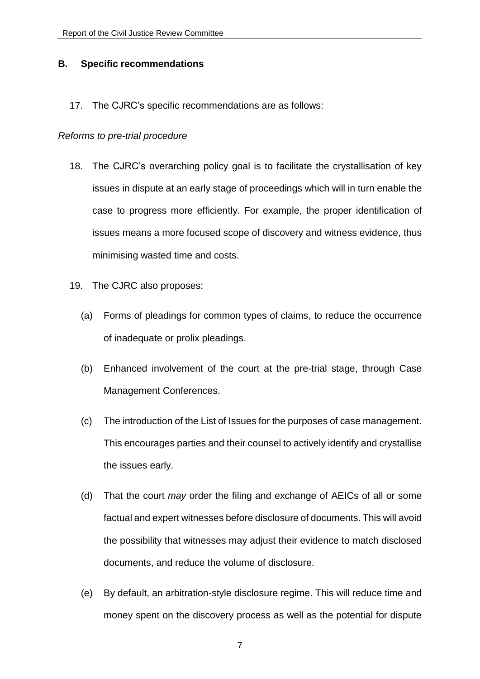### <span id="page-6-0"></span>**B. Specific recommendations**

17. The CJRC's specific recommendations are as follows:

### *Reforms to pre-trial procedure*

- 18. The CJRC's overarching policy goal is to facilitate the crystallisation of key issues in dispute at an early stage of proceedings which will in turn enable the case to progress more efficiently. For example, the proper identification of issues means a more focused scope of discovery and witness evidence, thus minimising wasted time and costs.
- 19. The CJRC also proposes:
	- (a) Forms of pleadings for common types of claims, to reduce the occurrence of inadequate or prolix pleadings.
	- (b) Enhanced involvement of the court at the pre-trial stage, through Case Management Conferences.
	- (c) The introduction of the List of Issues for the purposes of case management. This encourages parties and their counsel to actively identify and crystallise the issues early.
	- (d) That the court *may* order the filing and exchange of AEICs of all or some factual and expert witnesses before disclosure of documents. This will avoid the possibility that witnesses may adjust their evidence to match disclosed documents, and reduce the volume of disclosure.
	- (e) By default, an arbitration-style disclosure regime. This will reduce time and money spent on the discovery process as well as the potential for dispute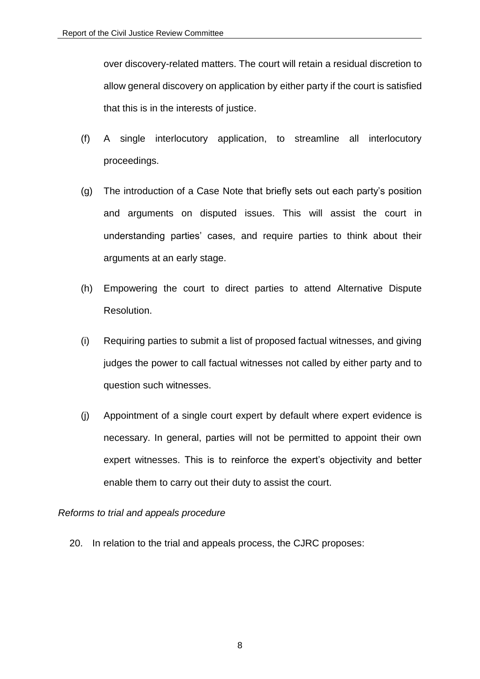over discovery-related matters. The court will retain a residual discretion to allow general discovery on application by either party if the court is satisfied that this is in the interests of justice.

- (f) A single interlocutory application, to streamline all interlocutory proceedings.
- (g) The introduction of a Case Note that briefly sets out each party's position and arguments on disputed issues. This will assist the court in understanding parties' cases, and require parties to think about their arguments at an early stage.
- (h) Empowering the court to direct parties to attend Alternative Dispute Resolution.
- (i) Requiring parties to submit a list of proposed factual witnesses, and giving judges the power to call factual witnesses not called by either party and to question such witnesses.
- (j) Appointment of a single court expert by default where expert evidence is necessary. In general, parties will not be permitted to appoint their own expert witnesses. This is to reinforce the expert's objectivity and better enable them to carry out their duty to assist the court.

## *Reforms to trial and appeals procedure*

20. In relation to the trial and appeals process, the CJRC proposes: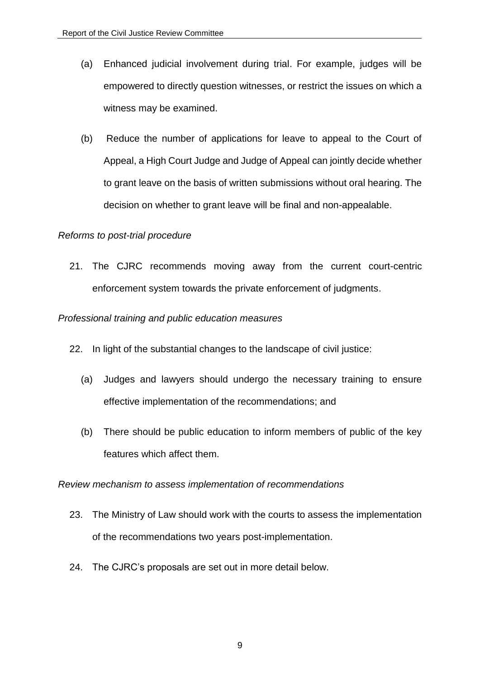- (a) Enhanced judicial involvement during trial. For example, judges will be empowered to directly question witnesses, or restrict the issues on which a witness may be examined.
- (b) Reduce the number of applications for leave to appeal to the Court of Appeal, a High Court Judge and Judge of Appeal can jointly decide whether to grant leave on the basis of written submissions without oral hearing. The decision on whether to grant leave will be final and non-appealable.

## *Reforms to post-trial procedure*

21. The CJRC recommends moving away from the current court-centric enforcement system towards the private enforcement of judgments.

## *Professional training and public education measures*

- 22. In light of the substantial changes to the landscape of civil justice:
	- (a) Judges and lawyers should undergo the necessary training to ensure effective implementation of the recommendations; and
	- (b) There should be public education to inform members of public of the key features which affect them.

## *Review mechanism to assess implementation of recommendations*

- 23. The Ministry of Law should work with the courts to assess the implementation of the recommendations two years post-implementation.
- 24. The CJRC's proposals are set out in more detail below.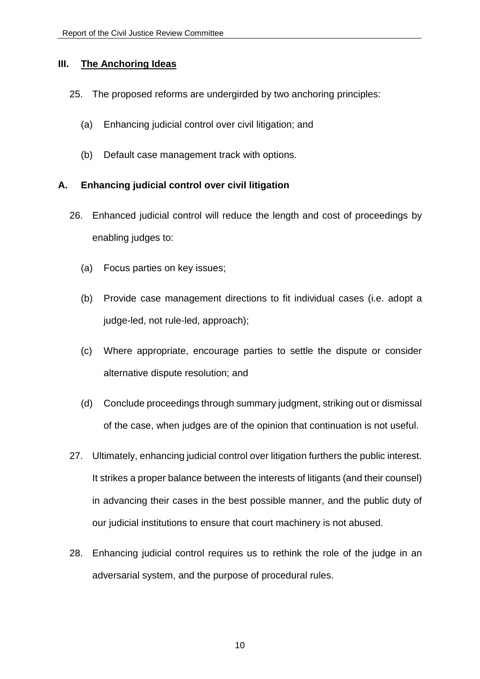## <span id="page-9-0"></span>**III. The Anchoring Ideas**

- 25. The proposed reforms are undergirded by two anchoring principles:
	- (a) Enhancing judicial control over civil litigation; and
	- (b) Default case management track with options.

## <span id="page-9-1"></span>**A. Enhancing judicial control over civil litigation**

- 26. Enhanced judicial control will reduce the length and cost of proceedings by enabling judges to:
	- (a) Focus parties on key issues;
	- (b) Provide case management directions to fit individual cases (i.e. adopt a judge-led, not rule-led, approach);
	- (c) Where appropriate, encourage parties to settle the dispute or consider alternative dispute resolution; and
	- (d) Conclude proceedings through summary judgment, striking out or dismissal of the case, when judges are of the opinion that continuation is not useful.
- 27. Ultimately, enhancing judicial control over litigation furthers the public interest. It strikes a proper balance between the interests of litigants (and their counsel) in advancing their cases in the best possible manner, and the public duty of our judicial institutions to ensure that court machinery is not abused.
- 28. Enhancing judicial control requires us to rethink the role of the judge in an adversarial system, and the purpose of procedural rules.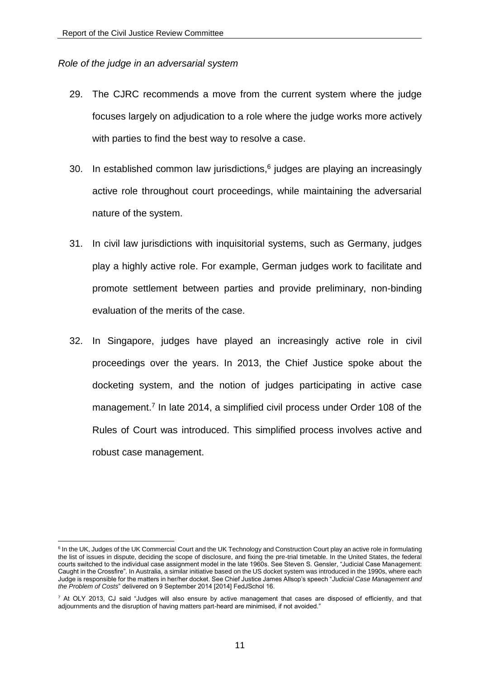## *Role of the judge in an adversarial system*

- 29. The CJRC recommends a move from the current system where the judge focuses largely on adjudication to a role where the judge works more actively with parties to find the best way to resolve a case.
- 30. In established common law jurisdictions, $6$  judges are playing an increasingly active role throughout court proceedings, while maintaining the adversarial nature of the system.
- 31. In civil law jurisdictions with inquisitorial systems, such as Germany, judges play a highly active role. For example, German judges work to facilitate and promote settlement between parties and provide preliminary, non-binding evaluation of the merits of the case.
- 32. In Singapore, judges have played an increasingly active role in civil proceedings over the years. In 2013, the Chief Justice spoke about the docketing system, and the notion of judges participating in active case management.<sup>7</sup> In late 2014, a simplified civil process under Order 108 of the Rules of Court was introduced. This simplified process involves active and robust case management.

<sup>1</sup> <sup>6</sup> In the UK, Judges of the UK Commercial Court and the UK Technology and Construction Court play an active role in formulating the list of issues in dispute, deciding the scope of disclosure, and fixing the pre-trial timetable. In the United States, the federal courts switched to the individual case assignment model in the late 1960s. See Steven S. Gensler, "Judicial Case Management: Caught in the Crossfire". In Australia, a similar initiative based on the US docket system was introduced in the 1990s, where each Judge is responsible for the matters in her/her docket. See Chief Justice James Allsop's speech "*Judicial Case Management and the Problem of Costs*" delivered on 9 September 2014 [2014] FedJSchol 16.

 $7$  At OLY 2013, CJ said "Judges will also ensure by active management that cases are disposed of efficiently, and that adjournments and the disruption of having matters part-heard are minimised, if not avoided."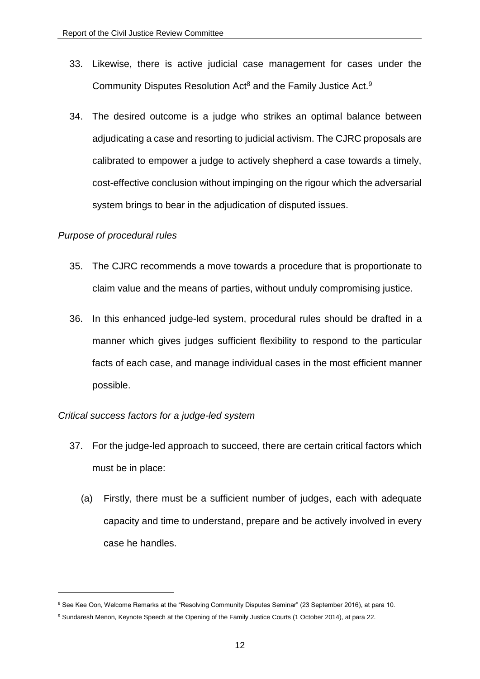- 33. Likewise, there is active judicial case management for cases under the Community Disputes Resolution Act<sup>8</sup> and the Family Justice Act.<sup>9</sup>
- 34. The desired outcome is a judge who strikes an optimal balance between adjudicating a case and resorting to judicial activism. The CJRC proposals are calibrated to empower a judge to actively shepherd a case towards a timely, cost-effective conclusion without impinging on the rigour which the adversarial system brings to bear in the adjudication of disputed issues.

## *Purpose of procedural rules*

1

- 35. The CJRC recommends a move towards a procedure that is proportionate to claim value and the means of parties, without unduly compromising justice.
- 36. In this enhanced judge-led system, procedural rules should be drafted in a manner which gives judges sufficient flexibility to respond to the particular facts of each case, and manage individual cases in the most efficient manner possible.

## *Critical success factors for a judge-led system*

- 37. For the judge-led approach to succeed, there are certain critical factors which must be in place:
	- (a) Firstly, there must be a sufficient number of judges, each with adequate capacity and time to understand, prepare and be actively involved in every case he handles.

<sup>&</sup>lt;sup>8</sup> See Kee Oon, Welcome Remarks at the "Resolving Community Disputes Seminar" (23 September 2016), at para 10.

<sup>9</sup> Sundaresh Menon, Keynote Speech at the Opening of the Family Justice Courts (1 October 2014), at para 22.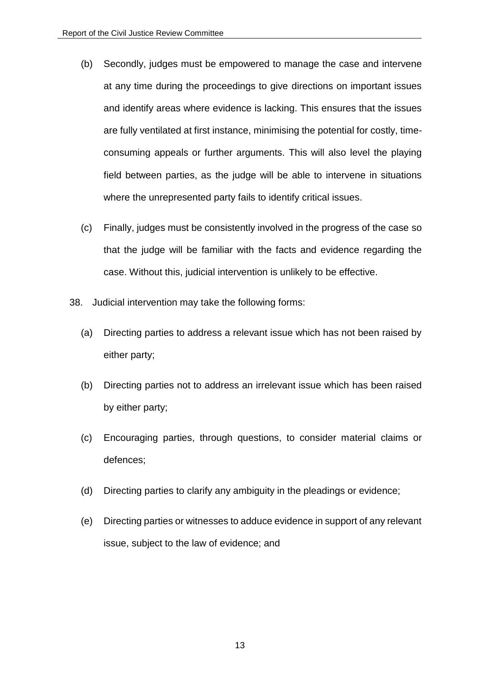- (b) Secondly, judges must be empowered to manage the case and intervene at any time during the proceedings to give directions on important issues and identify areas where evidence is lacking. This ensures that the issues are fully ventilated at first instance, minimising the potential for costly, timeconsuming appeals or further arguments. This will also level the playing field between parties, as the judge will be able to intervene in situations where the unrepresented party fails to identify critical issues.
- (c) Finally, judges must be consistently involved in the progress of the case so that the judge will be familiar with the facts and evidence regarding the case. Without this, judicial intervention is unlikely to be effective.
- 38. Judicial intervention may take the following forms:
	- (a) Directing parties to address a relevant issue which has not been raised by either party;
	- (b) Directing parties not to address an irrelevant issue which has been raised by either party;
	- (c) Encouraging parties, through questions, to consider material claims or defences;
	- (d) Directing parties to clarify any ambiguity in the pleadings or evidence;
	- (e) Directing parties or witnesses to adduce evidence in support of any relevant issue, subject to the law of evidence; and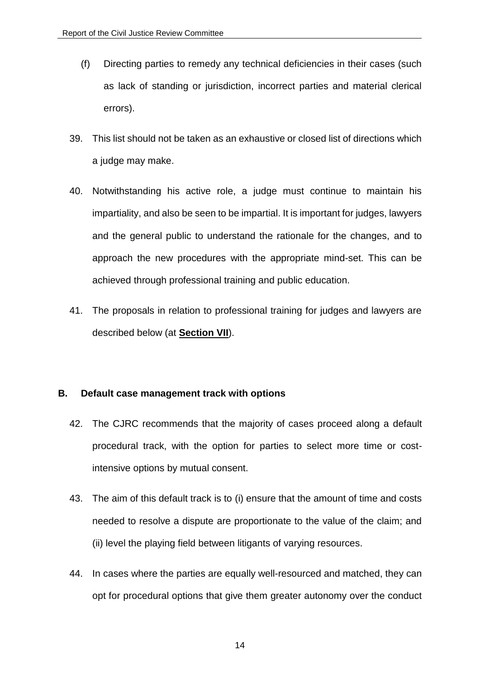- (f) Directing parties to remedy any technical deficiencies in their cases (such as lack of standing or jurisdiction, incorrect parties and material clerical errors).
- 39. This list should not be taken as an exhaustive or closed list of directions which a judge may make.
- 40. Notwithstanding his active role, a judge must continue to maintain his impartiality, and also be seen to be impartial. It is important for judges, lawyers and the general public to understand the rationale for the changes, and to approach the new procedures with the appropriate mind-set. This can be achieved through professional training and public education.
- 41. The proposals in relation to professional training for judges and lawyers are described below (at **Section VII**).

## <span id="page-13-0"></span>**B. Default case management track with options**

- 42. The CJRC recommends that the majority of cases proceed along a default procedural track, with the option for parties to select more time or costintensive options by mutual consent.
- 43. The aim of this default track is to (i) ensure that the amount of time and costs needed to resolve a dispute are proportionate to the value of the claim; and (ii) level the playing field between litigants of varying resources.
- 44. In cases where the parties are equally well-resourced and matched, they can opt for procedural options that give them greater autonomy over the conduct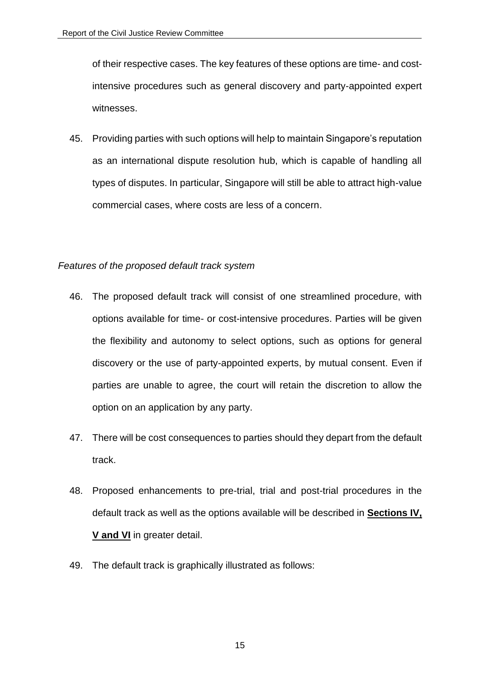of their respective cases. The key features of these options are time- and costintensive procedures such as general discovery and party-appointed expert witnesses.

45. Providing parties with such options will help to maintain Singapore's reputation as an international dispute resolution hub, which is capable of handling all types of disputes. In particular, Singapore will still be able to attract high-value commercial cases, where costs are less of a concern.

## *Features of the proposed default track system*

- 46. The proposed default track will consist of one streamlined procedure, with options available for time- or cost-intensive procedures. Parties will be given the flexibility and autonomy to select options, such as options for general discovery or the use of party-appointed experts, by mutual consent. Even if parties are unable to agree, the court will retain the discretion to allow the option on an application by any party.
- 47. There will be cost consequences to parties should they depart from the default track.
- 48. Proposed enhancements to pre-trial, trial and post-trial procedures in the default track as well as the options available will be described in **Sections [IV,](#page-16-0) V and VI** in greater detail.
- 49. The default track is graphically illustrated as follows: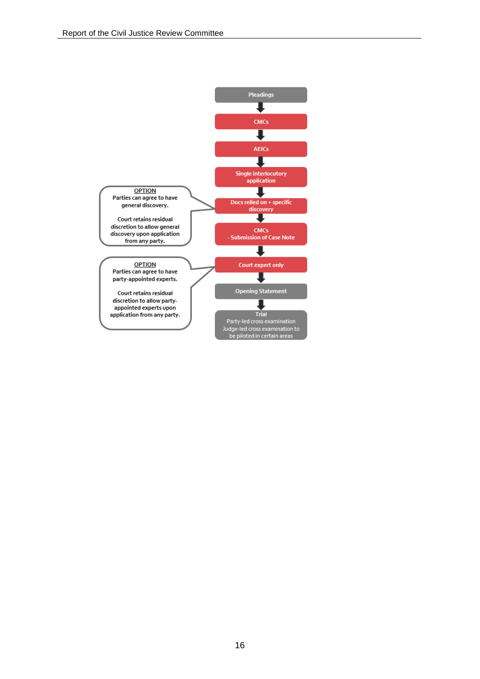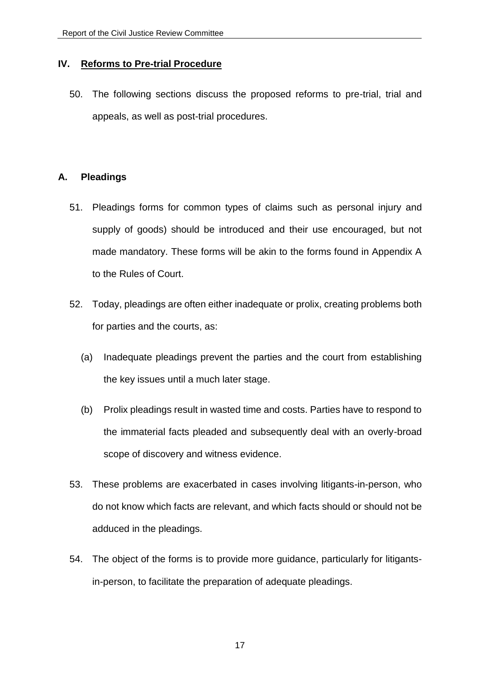## <span id="page-16-0"></span>**IV. Reforms to Pre-trial Procedure**

50. The following sections discuss the proposed reforms to pre-trial, trial and appeals, as well as post-trial procedures.

## <span id="page-16-1"></span>**A. Pleadings**

- 51. Pleadings forms for common types of claims such as personal injury and supply of goods) should be introduced and their use encouraged, but not made mandatory. These forms will be akin to the forms found in Appendix A to the Rules of Court.
- 52. Today, pleadings are often either inadequate or prolix, creating problems both for parties and the courts, as:
	- (a) Inadequate pleadings prevent the parties and the court from establishing the key issues until a much later stage.
	- (b) Prolix pleadings result in wasted time and costs. Parties have to respond to the immaterial facts pleaded and subsequently deal with an overly-broad scope of discovery and witness evidence.
- 53. These problems are exacerbated in cases involving litigants-in-person, who do not know which facts are relevant, and which facts should or should not be adduced in the pleadings.
- 54. The object of the forms is to provide more guidance, particularly for litigantsin-person, to facilitate the preparation of adequate pleadings.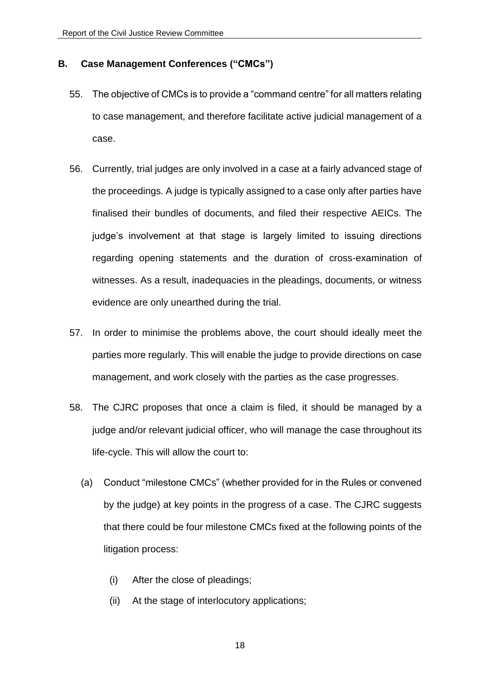#### <span id="page-17-0"></span>**B. Case Management Conferences ("CMCs")**

- 55. The objective of CMCs is to provide a "command centre" for all matters relating to case management, and therefore facilitate active judicial management of a case.
- 56. Currently, trial judges are only involved in a case at a fairly advanced stage of the proceedings. A judge is typically assigned to a case only after parties have finalised their bundles of documents, and filed their respective AEICs. The judge's involvement at that stage is largely limited to issuing directions regarding opening statements and the duration of cross-examination of witnesses. As a result, inadequacies in the pleadings, documents, or witness evidence are only unearthed during the trial.
- 57. In order to minimise the problems above, the court should ideally meet the parties more regularly. This will enable the judge to provide directions on case management, and work closely with the parties as the case progresses.
- 58. The CJRC proposes that once a claim is filed, it should be managed by a judge and/or relevant judicial officer, who will manage the case throughout its life-cycle. This will allow the court to:
	- (a) Conduct "milestone CMCs" (whether provided for in the Rules or convened by the judge) at key points in the progress of a case. The CJRC suggests that there could be four milestone CMCs fixed at the following points of the litigation process:
		- (i) After the close of pleadings;
		- (ii) At the stage of interlocutory applications;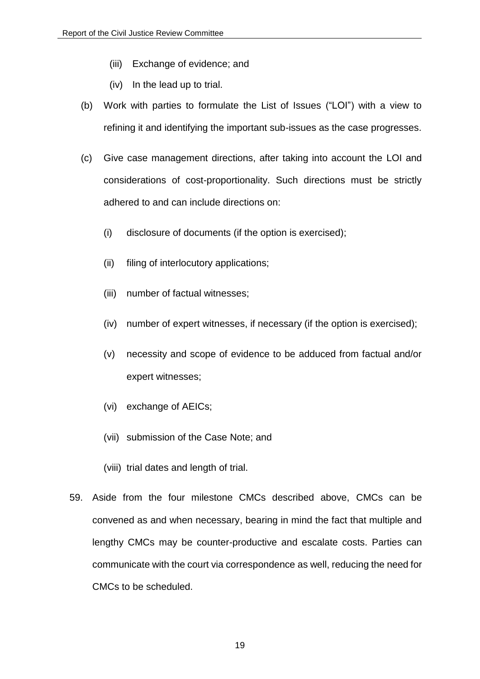- (iii) Exchange of evidence; and
- (iv) In the lead up to trial.
- (b) Work with parties to formulate the List of Issues ("LOI") with a view to refining it and identifying the important sub-issues as the case progresses.
- (c) Give case management directions, after taking into account the LOI and considerations of cost-proportionality. Such directions must be strictly adhered to and can include directions on:
	- (i) disclosure of documents (if the option is exercised);
	- (ii) filing of interlocutory applications;
	- (iii) number of factual witnesses;
	- (iv) number of expert witnesses, if necessary (if the option is exercised);
	- (v) necessity and scope of evidence to be adduced from factual and/or expert witnesses;
	- (vi) exchange of AEICs;
	- (vii) submission of the Case Note; and
	- (viii) trial dates and length of trial.
- 59. Aside from the four milestone CMCs described above, CMCs can be convened as and when necessary, bearing in mind the fact that multiple and lengthy CMCs may be counter-productive and escalate costs. Parties can communicate with the court via correspondence as well, reducing the need for CMCs to be scheduled.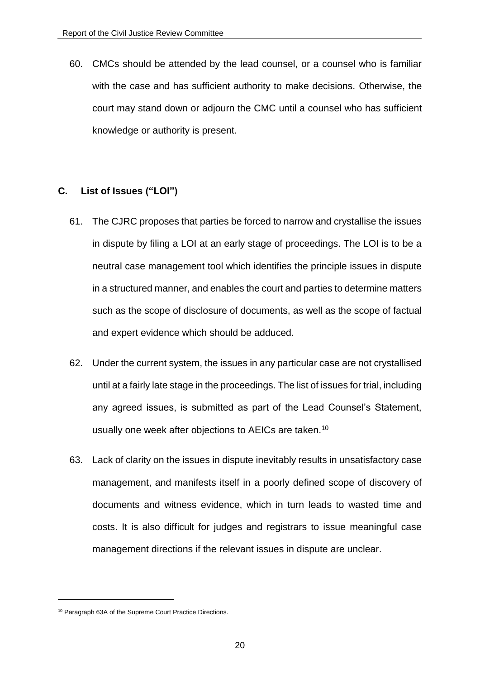60. CMCs should be attended by the lead counsel, or a counsel who is familiar with the case and has sufficient authority to make decisions. Otherwise, the court may stand down or adjourn the CMC until a counsel who has sufficient knowledge or authority is present.

## <span id="page-19-0"></span>**C. List of Issues ("LOI")**

- 61. The CJRC proposes that parties be forced to narrow and crystallise the issues in dispute by filing a LOI at an early stage of proceedings. The LOI is to be a neutral case management tool which identifies the principle issues in dispute in a structured manner, and enables the court and parties to determine matters such as the scope of disclosure of documents, as well as the scope of factual and expert evidence which should be adduced.
- 62. Under the current system, the issues in any particular case are not crystallised until at a fairly late stage in the proceedings. The list of issues for trial, including any agreed issues, is submitted as part of the Lead Counsel's Statement, usually one week after objections to AEICs are taken.<sup>10</sup>
- 63. Lack of clarity on the issues in dispute inevitably results in unsatisfactory case management, and manifests itself in a poorly defined scope of discovery of documents and witness evidence, which in turn leads to wasted time and costs. It is also difficult for judges and registrars to issue meaningful case management directions if the relevant issues in dispute are unclear.

<sup>10</sup> Paragraph 63A of the Supreme Court Practice Directions.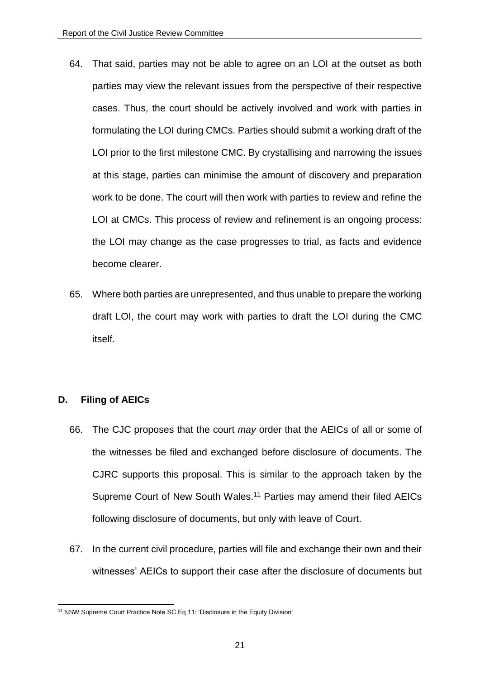- 64. That said, parties may not be able to agree on an LOI at the outset as both parties may view the relevant issues from the perspective of their respective cases. Thus, the court should be actively involved and work with parties in formulating the LOI during CMCs. Parties should submit a working draft of the LOI prior to the first milestone CMC. By crystallising and narrowing the issues at this stage, parties can minimise the amount of discovery and preparation work to be done. The court will then work with parties to review and refine the LOI at CMCs. This process of review and refinement is an ongoing process: the LOI may change as the case progresses to trial, as facts and evidence become clearer.
- 65. Where both parties are unrepresented, and thus unable to prepare the working draft LOI, the court may work with parties to draft the LOI during the CMC itself.

## <span id="page-20-0"></span>**D. Filing of AEICs**

- 66. The CJC proposes that the court *may* order that the AEICs of all or some of the witnesses be filed and exchanged before disclosure of documents. The CJRC supports this proposal. This is similar to the approach taken by the Supreme Court of New South Wales.<sup>11</sup> Parties may amend their filed AEICs following disclosure of documents, but only with leave of Court.
- 67. In the current civil procedure, parties will file and exchange their own and their witnesses' AEICs to support their case after the disclosure of documents but

<sup>1</sup> <sup>11</sup> NSW Supreme Court Practice Note SC Eq 11: 'Disclosure in the Equity Division'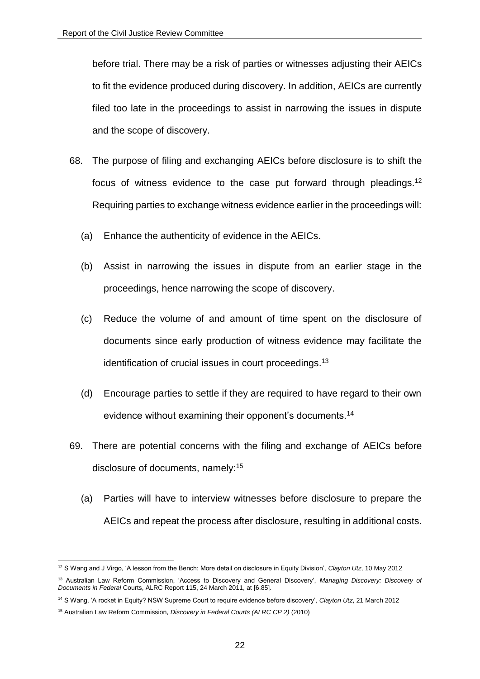before trial. There may be a risk of parties or witnesses adjusting their AEICs to fit the evidence produced during discovery. In addition, AEICs are currently filed too late in the proceedings to assist in narrowing the issues in dispute and the scope of discovery.

- 68. The purpose of filing and exchanging AEICs before disclosure is to shift the focus of witness evidence to the case put forward through pleadings.<sup>12</sup> Requiring parties to exchange witness evidence earlier in the proceedings will:
	- (a) Enhance the authenticity of evidence in the AEICs.
	- (b) Assist in narrowing the issues in dispute from an earlier stage in the proceedings, hence narrowing the scope of discovery.
	- (c) Reduce the volume of and amount of time spent on the disclosure of documents since early production of witness evidence may facilitate the identification of crucial issues in court proceedings.<sup>13</sup>
	- (d) Encourage parties to settle if they are required to have regard to their own evidence without examining their opponent's documents.<sup>14</sup>
- 69. There are potential concerns with the filing and exchange of AEICs before disclosure of documents, namely:<sup>15</sup>
	- (a) Parties will have to interview witnesses before disclosure to prepare the AEICs and repeat the process after disclosure, resulting in additional costs.

<sup>12</sup> S Wang and J Virgo, 'A lesson from the Bench: More detail on disclosure in Equity Division', *Clayton Utz*, 10 May 2012

<sup>13</sup> Australian Law Reform Commission, 'Access to Discovery and General Discovery', *Managing Discovery: Discovery of Documents in Federal* Courts, ALRC Report 115, 24 March 2011, at [6.85].

<sup>14</sup> S Wang, 'A rocket in Equity? NSW Supreme Court to require evidence before discovery', *Clayton Utz*, 21 March 2012

<sup>15</sup> Australian Law Reform Commission, *Discovery in Federal Courts (ALRC CP 2)* (2010)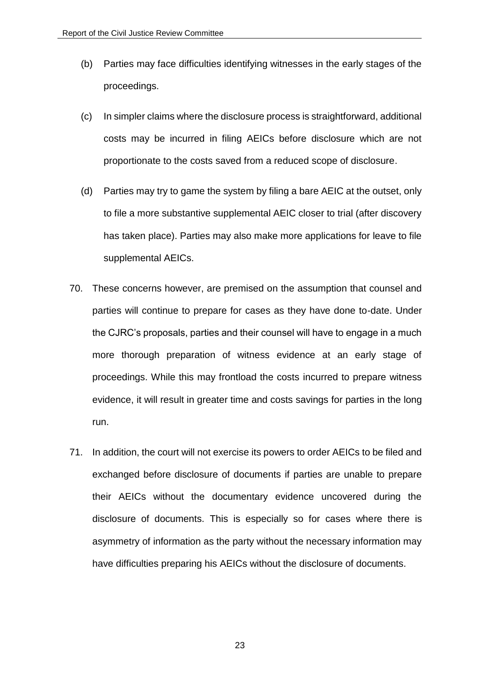- (b) Parties may face difficulties identifying witnesses in the early stages of the proceedings.
- (c) In simpler claims where the disclosure process is straightforward, additional costs may be incurred in filing AEICs before disclosure which are not proportionate to the costs saved from a reduced scope of disclosure.
- (d) Parties may try to game the system by filing a bare AEIC at the outset, only to file a more substantive supplemental AEIC closer to trial (after discovery has taken place). Parties may also make more applications for leave to file supplemental AEICs.
- 70. These concerns however, are premised on the assumption that counsel and parties will continue to prepare for cases as they have done to-date. Under the CJRC's proposals, parties and their counsel will have to engage in a much more thorough preparation of witness evidence at an early stage of proceedings. While this may frontload the costs incurred to prepare witness evidence, it will result in greater time and costs savings for parties in the long run.
- 71. In addition, the court will not exercise its powers to order AEICs to be filed and exchanged before disclosure of documents if parties are unable to prepare their AEICs without the documentary evidence uncovered during the disclosure of documents. This is especially so for cases where there is asymmetry of information as the party without the necessary information may have difficulties preparing his AEICs without the disclosure of documents.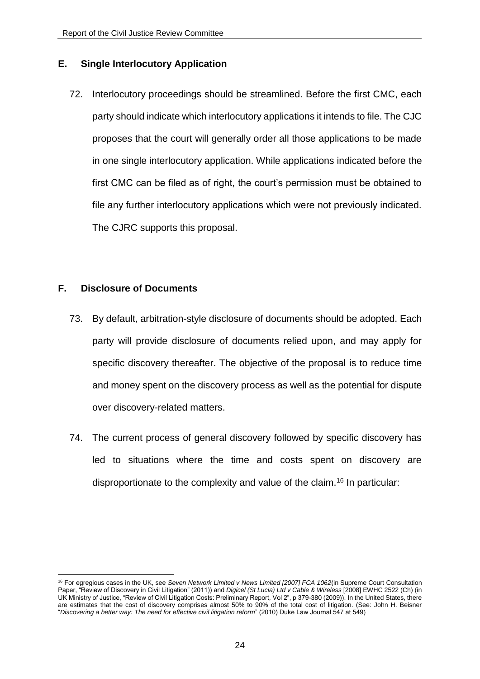## <span id="page-23-0"></span>**E. Single Interlocutory Application**

72. Interlocutory proceedings should be streamlined. Before the first CMC, each party should indicate which interlocutory applications it intends to file. The CJC proposes that the court will generally order all those applications to be made in one single interlocutory application. While applications indicated before the first CMC can be filed as of right, the court's permission must be obtained to file any further interlocutory applications which were not previously indicated. The CJRC supports this proposal.

## <span id="page-23-1"></span>**F. Disclosure of Documents**

- 73. By default, arbitration-style disclosure of documents should be adopted. Each party will provide disclosure of documents relied upon, and may apply for specific discovery thereafter. The objective of the proposal is to reduce time and money spent on the discovery process as well as the potential for dispute over discovery-related matters.
- 74. The current process of general discovery followed by specific discovery has led to situations where the time and costs spent on discovery are disproportionate to the complexity and value of the claim.<sup>16</sup> In particular:

<sup>16</sup> For egregious cases in the UK, see *Seven Network Limited v News Limited [2007] FCA 1062*(in Supreme Court Consultation Paper, "Review of Discovery in Civil Litigation" (2011)) and *Digicel (St Lucia) Ltd v Cable & Wireless* [2008] EWHC 2522 (Ch) (in UK Ministry of Justice, "Review of Civil Litigation Costs: Preliminary Report, Vol 2", p 379-380 (2009)). In the United States, there are estimates that the cost of discovery comprises almost 50% to 90% of the total cost of litigation. (See: John H. Beisner "*Discovering a better way: The need for effective civil litigation reform*" (2010) Duke Law Journal 547 at 549)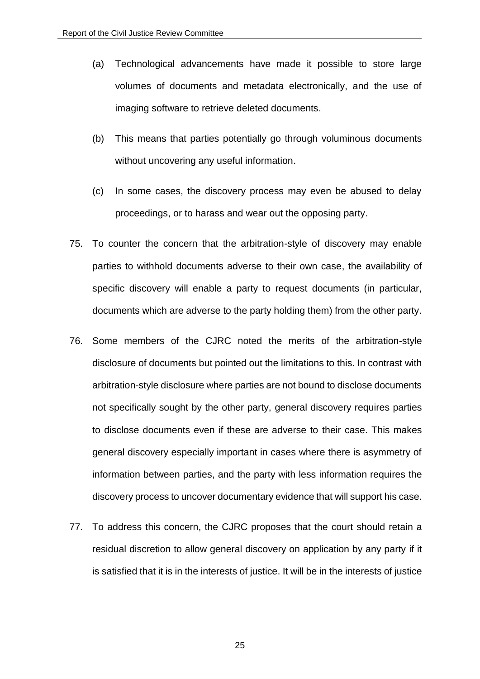- (a) Technological advancements have made it possible to store large volumes of documents and metadata electronically, and the use of imaging software to retrieve deleted documents.
- (b) This means that parties potentially go through voluminous documents without uncovering any useful information.
- (c) In some cases, the discovery process may even be abused to delay proceedings, or to harass and wear out the opposing party.
- 75. To counter the concern that the arbitration-style of discovery may enable parties to withhold documents adverse to their own case, the availability of specific discovery will enable a party to request documents (in particular, documents which are adverse to the party holding them) from the other party.
- 76. Some members of the CJRC noted the merits of the arbitration-style disclosure of documents but pointed out the limitations to this. In contrast with arbitration-style disclosure where parties are not bound to disclose documents not specifically sought by the other party, general discovery requires parties to disclose documents even if these are adverse to their case. This makes general discovery especially important in cases where there is asymmetry of information between parties, and the party with less information requires the discovery process to uncover documentary evidence that will support his case.
- 77. To address this concern, the CJRC proposes that the court should retain a residual discretion to allow general discovery on application by any party if it is satisfied that it is in the interests of justice. It will be in the interests of justice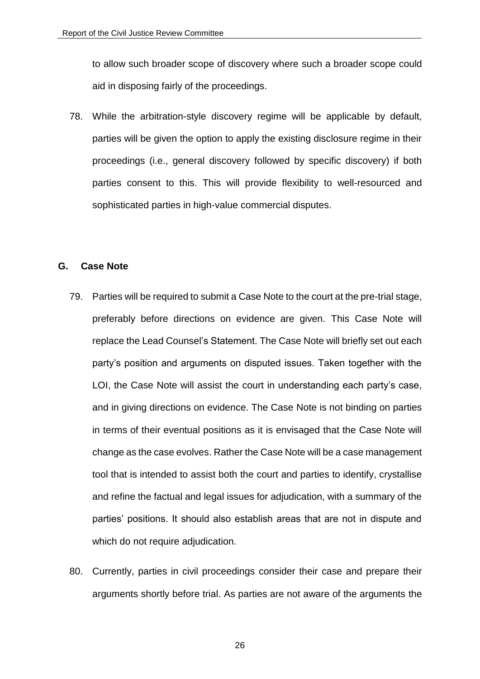to allow such broader scope of discovery where such a broader scope could aid in disposing fairly of the proceedings.

78. While the arbitration-style discovery regime will be applicable by default, parties will be given the option to apply the existing disclosure regime in their proceedings (i.e., general discovery followed by specific discovery) if both parties consent to this. This will provide flexibility to well-resourced and sophisticated parties in high-value commercial disputes.

#### <span id="page-25-0"></span>**G. Case Note**

- 79. Parties will be required to submit a Case Note to the court at the pre-trial stage, preferably before directions on evidence are given. This Case Note will replace the Lead Counsel's Statement. The Case Note will briefly set out each party's position and arguments on disputed issues. Taken together with the LOI, the Case Note will assist the court in understanding each party's case, and in giving directions on evidence. The Case Note is not binding on parties in terms of their eventual positions as it is envisaged that the Case Note will change as the case evolves. Rather the Case Note will be a case management tool that is intended to assist both the court and parties to identify, crystallise and refine the factual and legal issues for adjudication, with a summary of the parties' positions. It should also establish areas that are not in dispute and which do not require adjudication.
- 80. Currently, parties in civil proceedings consider their case and prepare their arguments shortly before trial. As parties are not aware of the arguments the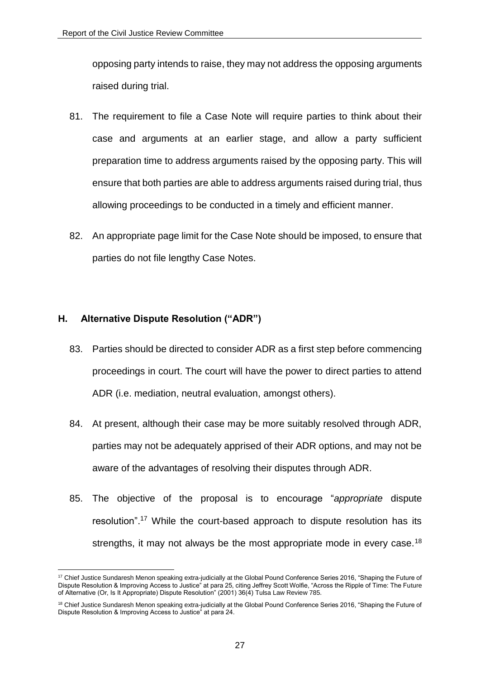opposing party intends to raise, they may not address the opposing arguments raised during trial.

- 81. The requirement to file a Case Note will require parties to think about their case and arguments at an earlier stage, and allow a party sufficient preparation time to address arguments raised by the opposing party. This will ensure that both parties are able to address arguments raised during trial, thus allowing proceedings to be conducted in a timely and efficient manner.
- 82. An appropriate page limit for the Case Note should be imposed, to ensure that parties do not file lengthy Case Notes.

## <span id="page-26-0"></span>**H. Alternative Dispute Resolution ("ADR")**

- 83. Parties should be directed to consider ADR as a first step before commencing proceedings in court. The court will have the power to direct parties to attend ADR (i.e. mediation, neutral evaluation, amongst others).
- 84. At present, although their case may be more suitably resolved through ADR, parties may not be adequately apprised of their ADR options, and may not be aware of the advantages of resolving their disputes through ADR.
- 85. The objective of the proposal is to encourage "*appropriate* dispute resolution".<sup>17</sup> While the court-based approach to dispute resolution has its strengths, it may not always be the most appropriate mode in every case.<sup>18</sup>

<sup>1</sup> <sup>17</sup> Chief Justice Sundaresh Menon speaking extra-judicially at the Global Pound Conference Series 2016, "Shaping the Future of Dispute Resolution & Improving Access to Justice" at para 25, citing Jeffrey Scott Wolfie, "Across the Ripple of Time: The Future of Alternative (Or, Is It Appropriate) Dispute Resolution" (2001) 36(4) Tulsa Law Review 785.

<sup>&</sup>lt;sup>18</sup> Chief Justice Sundaresh Menon speaking extra-judicially at the Global Pound Conference Series 2016, "Shaping the Future of Dispute Resolution & Improving Access to Justice" at para 24.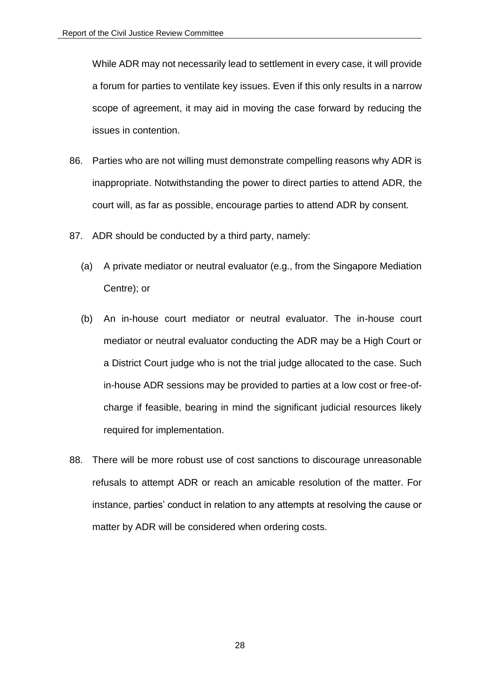While ADR may not necessarily lead to settlement in every case, it will provide a forum for parties to ventilate key issues. Even if this only results in a narrow scope of agreement, it may aid in moving the case forward by reducing the issues in contention.

- 86. Parties who are not willing must demonstrate compelling reasons why ADR is inappropriate. Notwithstanding the power to direct parties to attend ADR, the court will, as far as possible, encourage parties to attend ADR by consent.
- 87. ADR should be conducted by a third party, namely:
	- (a) A private mediator or neutral evaluator (e.g., from the Singapore Mediation Centre); or
	- (b) An in-house court mediator or neutral evaluator. The in-house court mediator or neutral evaluator conducting the ADR may be a High Court or a District Court judge who is not the trial judge allocated to the case. Such in-house ADR sessions may be provided to parties at a low cost or free-ofcharge if feasible, bearing in mind the significant judicial resources likely required for implementation.
- 88. There will be more robust use of cost sanctions to discourage unreasonable refusals to attempt ADR or reach an amicable resolution of the matter. For instance, parties' conduct in relation to any attempts at resolving the cause or matter by ADR will be considered when ordering costs.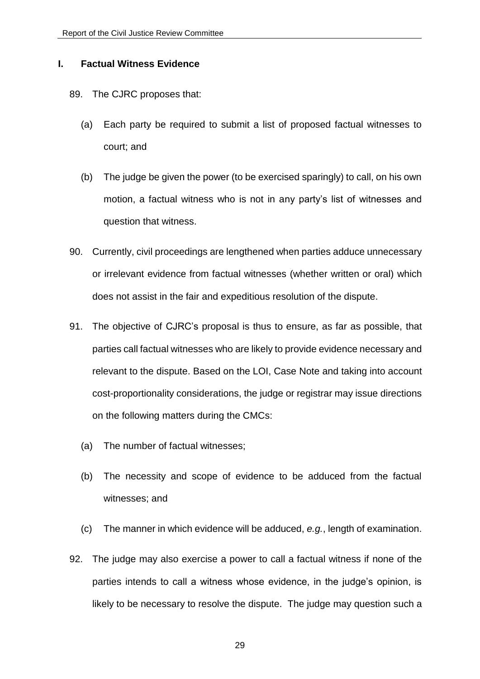#### <span id="page-28-0"></span>**I. Factual Witness Evidence**

#### 89. The CJRC proposes that:

- (a) Each party be required to submit a list of proposed factual witnesses to court; and
- (b) The judge be given the power (to be exercised sparingly) to call, on his own motion, a factual witness who is not in any party's list of witnesses and question that witness.
- 90. Currently, civil proceedings are lengthened when parties adduce unnecessary or irrelevant evidence from factual witnesses (whether written or oral) which does not assist in the fair and expeditious resolution of the dispute.
- 91. The objective of CJRC's proposal is thus to ensure, as far as possible, that parties call factual witnesses who are likely to provide evidence necessary and relevant to the dispute. Based on the LOI, Case Note and taking into account cost-proportionality considerations, the judge or registrar may issue directions on the following matters during the CMCs:
	- (a) The number of factual witnesses;
	- (b) The necessity and scope of evidence to be adduced from the factual witnesses; and
	- (c) The manner in which evidence will be adduced, *e.g.*, length of examination.
- 92. The judge may also exercise a power to call a factual witness if none of the parties intends to call a witness whose evidence, in the judge's opinion, is likely to be necessary to resolve the dispute. The judge may question such a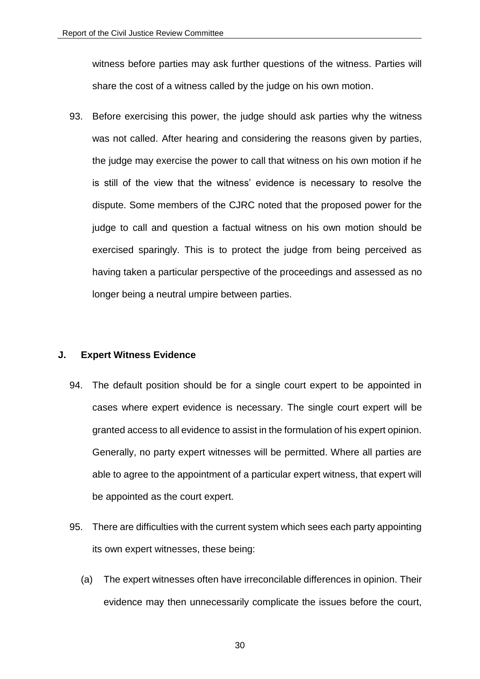witness before parties may ask further questions of the witness. Parties will share the cost of a witness called by the judge on his own motion.

93. Before exercising this power, the judge should ask parties why the witness was not called. After hearing and considering the reasons given by parties, the judge may exercise the power to call that witness on his own motion if he is still of the view that the witness' evidence is necessary to resolve the dispute. Some members of the CJRC noted that the proposed power for the judge to call and question a factual witness on his own motion should be exercised sparingly. This is to protect the judge from being perceived as having taken a particular perspective of the proceedings and assessed as no longer being a neutral umpire between parties.

## <span id="page-29-0"></span>**J. Expert Witness Evidence**

- 94. The default position should be for a single court expert to be appointed in cases where expert evidence is necessary. The single court expert will be granted access to all evidence to assist in the formulation of his expert opinion. Generally, no party expert witnesses will be permitted. Where all parties are able to agree to the appointment of a particular expert witness, that expert will be appointed as the court expert.
- 95. There are difficulties with the current system which sees each party appointing its own expert witnesses, these being:
	- (a) The expert witnesses often have irreconcilable differences in opinion. Their evidence may then unnecessarily complicate the issues before the court,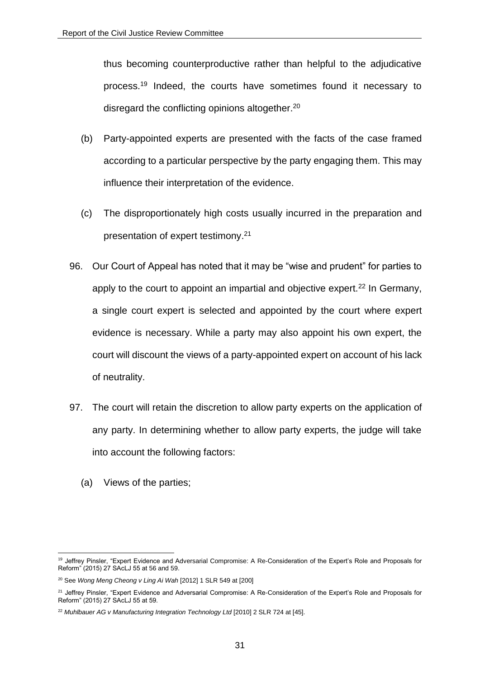thus becoming counterproductive rather than helpful to the adjudicative process.<sup>19</sup> Indeed, the courts have sometimes found it necessary to disregard the conflicting opinions altogether.<sup>20</sup>

- (b) Party-appointed experts are presented with the facts of the case framed according to a particular perspective by the party engaging them. This may influence their interpretation of the evidence.
- (c) The disproportionately high costs usually incurred in the preparation and presentation of expert testimony. 21
- 96. Our Court of Appeal has noted that it may be "wise and prudent" for parties to apply to the court to appoint an impartial and objective expert.<sup>22</sup> In Germany, a single court expert is selected and appointed by the court where expert evidence is necessary. While a party may also appoint his own expert, the court will discount the views of a party-appointed expert on account of his lack of neutrality.
- 97. The court will retain the discretion to allow party experts on the application of any party. In determining whether to allow party experts, the judge will take into account the following factors:
	- (a) Views of the parties;

<sup>1</sup> <sup>19</sup> Jeffrey Pinsler, "Expert Evidence and Adversarial Compromise: A Re-Consideration of the Expert's Role and Proposals for Reform" (2015) 27 SAcLJ 55 at 56 and 59.

<sup>20</sup> See *Wong Meng Cheong v Ling Ai Wah* [2012] 1 SLR 549 at [200]

<sup>&</sup>lt;sup>21</sup> Jeffrey Pinsler, "Expert Evidence and Adversarial Compromise: A Re-Consideration of the Expert's Role and Proposals for Reform" (2015) 27 SAcLJ 55 at 59.

<sup>&</sup>lt;sup>22</sup> Muhlbauer AG v Manufacturing Integration Technology Ltd [2010] 2 SLR 724 at [45].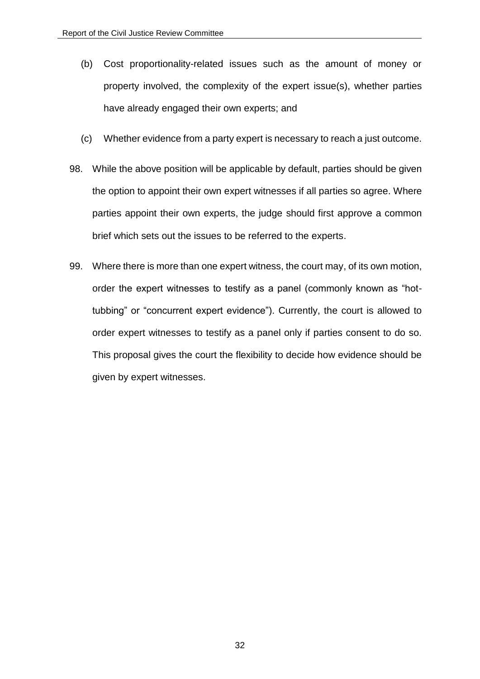- (b) Cost proportionality-related issues such as the amount of money or property involved, the complexity of the expert issue(s), whether parties have already engaged their own experts; and
- (c) Whether evidence from a party expert is necessary to reach a just outcome.
- 98. While the above position will be applicable by default, parties should be given the option to appoint their own expert witnesses if all parties so agree. Where parties appoint their own experts, the judge should first approve a common brief which sets out the issues to be referred to the experts.
- 99. Where there is more than one expert witness, the court may, of its own motion, order the expert witnesses to testify as a panel (commonly known as "hottubbing" or "concurrent expert evidence"). Currently, the court is allowed to order expert witnesses to testify as a panel only if parties consent to do so. This proposal gives the court the flexibility to decide how evidence should be given by expert witnesses.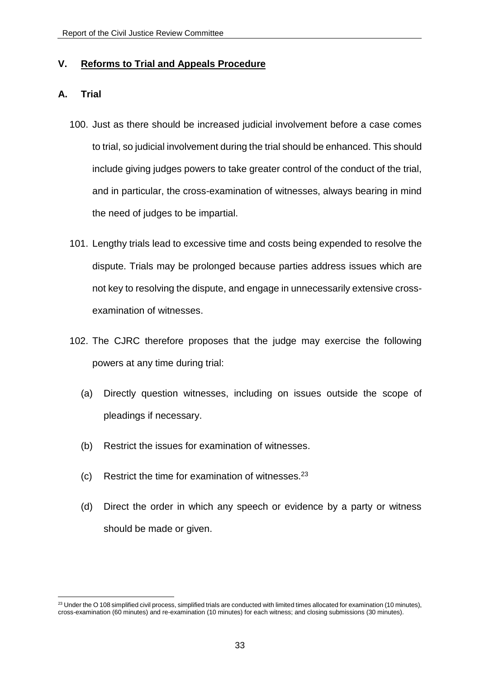## <span id="page-32-0"></span>**V. Reforms to Trial and Appeals Procedure**

## <span id="page-32-1"></span>**A. Trial**

- 100. Just as there should be increased judicial involvement before a case comes to trial, so judicial involvement during the trial should be enhanced. This should include giving judges powers to take greater control of the conduct of the trial, and in particular, the cross-examination of witnesses, always bearing in mind the need of judges to be impartial.
- 101. Lengthy trials lead to excessive time and costs being expended to resolve the dispute. Trials may be prolonged because parties address issues which are not key to resolving the dispute, and engage in unnecessarily extensive crossexamination of witnesses.
- 102. The CJRC therefore proposes that the judge may exercise the following powers at any time during trial:
	- (a) Directly question witnesses, including on issues outside the scope of pleadings if necessary.
	- (b) Restrict the issues for examination of witnesses.
	- (c) Restrict the time for examination of witnesses. 23
	- (d) Direct the order in which any speech or evidence by a party or witness should be made or given.

<sup>1</sup>  $23$  Under the O 108 simplified civil process, simplified trials are conducted with limited times allocated for examination (10 minutes), cross-examination (60 minutes) and re-examination (10 minutes) for each witness; and closing submissions (30 minutes).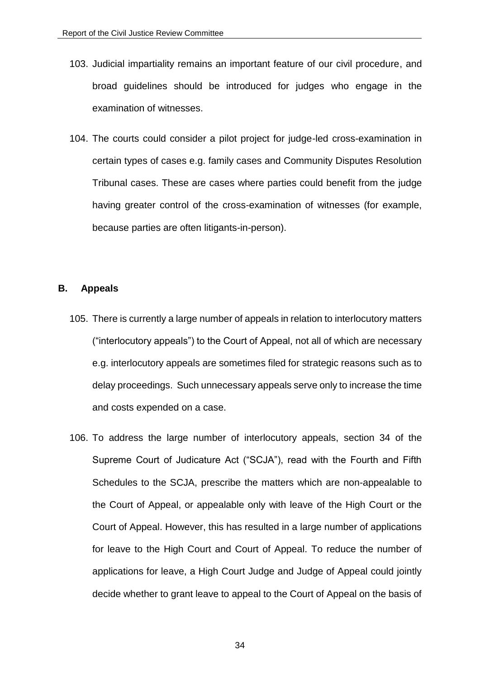- 103. Judicial impartiality remains an important feature of our civil procedure, and broad guidelines should be introduced for judges who engage in the examination of witnesses.
- 104. The courts could consider a pilot project for judge-led cross-examination in certain types of cases e.g. family cases and Community Disputes Resolution Tribunal cases. These are cases where parties could benefit from the judge having greater control of the cross-examination of witnesses (for example, because parties are often litigants-in-person).

#### <span id="page-33-0"></span>**B. Appeals**

- 105. There is currently a large number of appeals in relation to interlocutory matters ("interlocutory appeals") to the Court of Appeal, not all of which are necessary e.g. interlocutory appeals are sometimes filed for strategic reasons such as to delay proceedings. Such unnecessary appeals serve only to increase the time and costs expended on a case.
- 106. To address the large number of interlocutory appeals, section 34 of the Supreme Court of Judicature Act ("SCJA"), read with the Fourth and Fifth Schedules to the SCJA, prescribe the matters which are non-appealable to the Court of Appeal, or appealable only with leave of the High Court or the Court of Appeal. However, this has resulted in a large number of applications for leave to the High Court and Court of Appeal. To reduce the number of applications for leave, a High Court Judge and Judge of Appeal could jointly decide whether to grant leave to appeal to the Court of Appeal on the basis of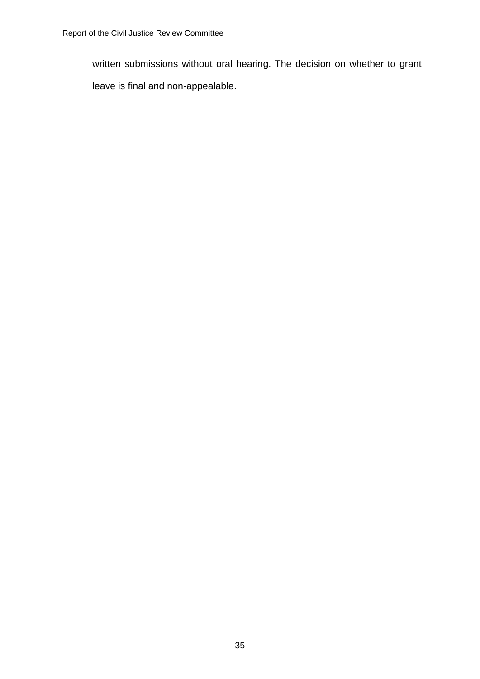written submissions without oral hearing. The decision on whether to grant

leave is final and non-appealable.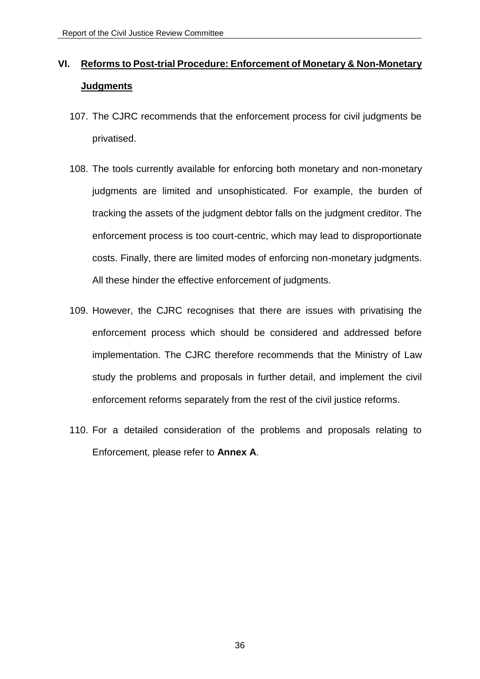# <span id="page-35-0"></span>**VI. Reforms to Post-trial Procedure: Enforcement of Monetary & Non-Monetary Judgments**

- 107. The CJRC recommends that the enforcement process for civil judgments be privatised.
- 108. The tools currently available for enforcing both monetary and non-monetary judgments are limited and unsophisticated. For example, the burden of tracking the assets of the judgment debtor falls on the judgment creditor. The enforcement process is too court-centric, which may lead to disproportionate costs. Finally, there are limited modes of enforcing non-monetary judgments. All these hinder the effective enforcement of judgments.
- 109. However, the CJRC recognises that there are issues with privatising the enforcement process which should be considered and addressed before implementation. The CJRC therefore recommends that the Ministry of Law study the problems and proposals in further detail, and implement the civil enforcement reforms separately from the rest of the civil justice reforms.
- 110. For a detailed consideration of the problems and proposals relating to Enforcement, please refer to **Annex A**.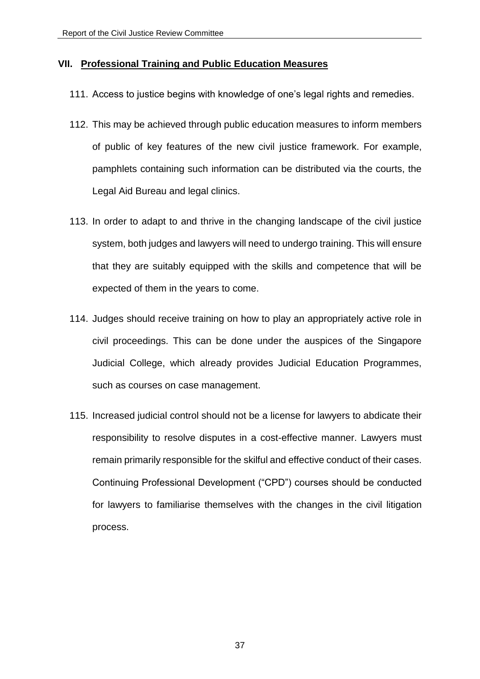## <span id="page-36-0"></span>**VII. Professional Training and Public Education Measures**

- 111. Access to justice begins with knowledge of one's legal rights and remedies.
- 112. This may be achieved through public education measures to inform members of public of key features of the new civil justice framework. For example, pamphlets containing such information can be distributed via the courts, the Legal Aid Bureau and legal clinics.
- 113. In order to adapt to and thrive in the changing landscape of the civil justice system, both judges and lawyers will need to undergo training. This will ensure that they are suitably equipped with the skills and competence that will be expected of them in the years to come.
- 114. Judges should receive training on how to play an appropriately active role in civil proceedings. This can be done under the auspices of the Singapore Judicial College, which already provides Judicial Education Programmes, such as courses on case management.
- 115. Increased judicial control should not be a license for lawyers to abdicate their responsibility to resolve disputes in a cost-effective manner. Lawyers must remain primarily responsible for the skilful and effective conduct of their cases. Continuing Professional Development ("CPD") courses should be conducted for lawyers to familiarise themselves with the changes in the civil litigation process.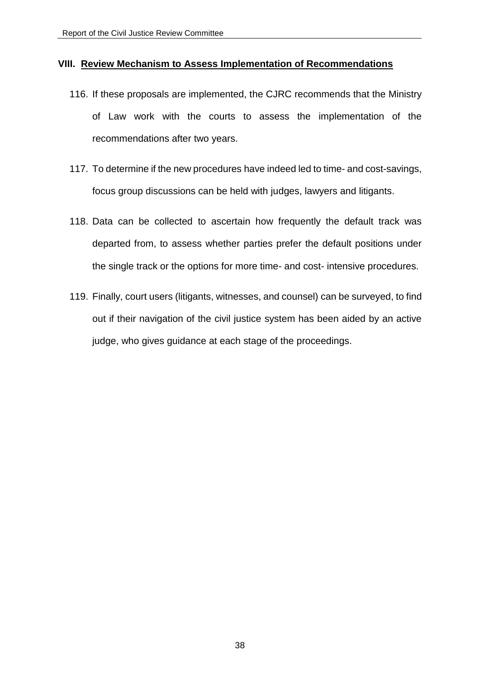#### <span id="page-37-0"></span>**VIII. Review Mechanism to Assess Implementation of Recommendations**

- 116. If these proposals are implemented, the CJRC recommends that the Ministry of Law work with the courts to assess the implementation of the recommendations after two years.
- 117. To determine if the new procedures have indeed led to time- and cost-savings, focus group discussions can be held with judges, lawyers and litigants.
- 118. Data can be collected to ascertain how frequently the default track was departed from, to assess whether parties prefer the default positions under the single track or the options for more time- and cost- intensive procedures.
- 119. Finally, court users (litigants, witnesses, and counsel) can be surveyed, to find out if their navigation of the civil justice system has been aided by an active judge, who gives guidance at each stage of the proceedings.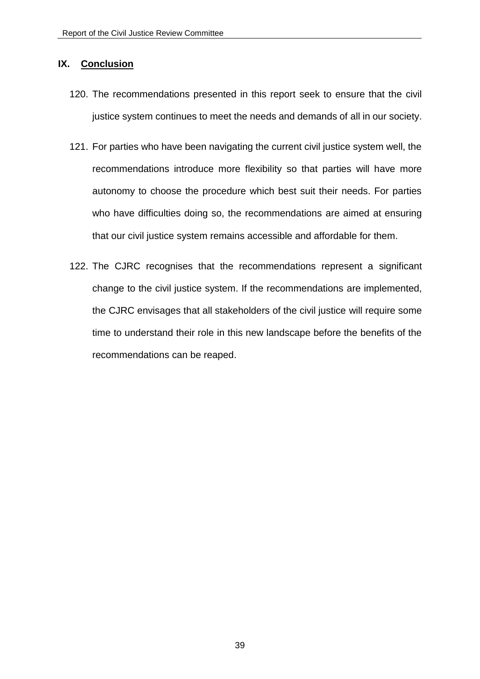## <span id="page-38-0"></span>**IX. Conclusion**

- 120. The recommendations presented in this report seek to ensure that the civil justice system continues to meet the needs and demands of all in our society.
- 121. For parties who have been navigating the current civil justice system well, the recommendations introduce more flexibility so that parties will have more autonomy to choose the procedure which best suit their needs. For parties who have difficulties doing so, the recommendations are aimed at ensuring that our civil justice system remains accessible and affordable for them.
- 122. The CJRC recognises that the recommendations represent a significant change to the civil justice system. If the recommendations are implemented, the CJRC envisages that all stakeholders of the civil justice will require some time to understand their role in this new landscape before the benefits of the recommendations can be reaped.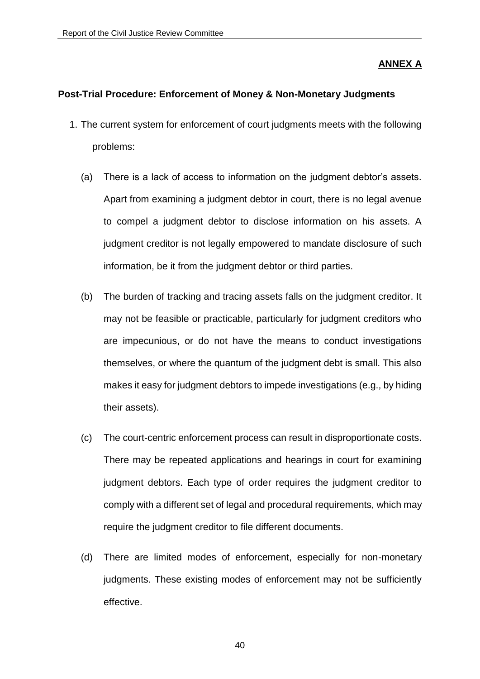## **ANNEX A**

#### **Post-Trial Procedure: Enforcement of Money & Non-Monetary Judgments**

- 1. The current system for enforcement of court judgments meets with the following problems:
	- (a) There is a lack of access to information on the judgment debtor's assets. Apart from examining a judgment debtor in court, there is no legal avenue to compel a judgment debtor to disclose information on his assets. A judgment creditor is not legally empowered to mandate disclosure of such information, be it from the judgment debtor or third parties.
	- (b) The burden of tracking and tracing assets falls on the judgment creditor. It may not be feasible or practicable, particularly for judgment creditors who are impecunious, or do not have the means to conduct investigations themselves, or where the quantum of the judgment debt is small. This also makes it easy for judgment debtors to impede investigations (e.g., by hiding their assets).
	- (c) The court-centric enforcement process can result in disproportionate costs. There may be repeated applications and hearings in court for examining judgment debtors. Each type of order requires the judgment creditor to comply with a different set of legal and procedural requirements, which may require the judgment creditor to file different documents.
	- (d) There are limited modes of enforcement, especially for non-monetary judgments. These existing modes of enforcement may not be sufficiently effective.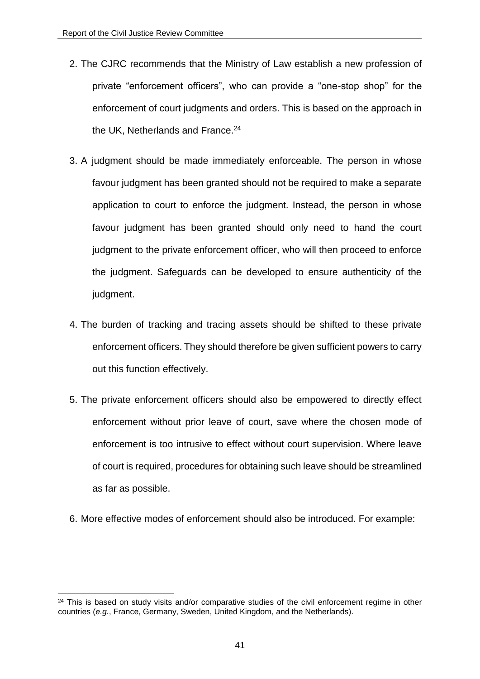- 2. The CJRC recommends that the Ministry of Law establish a new profession of private "enforcement officers", who can provide a "one-stop shop" for the enforcement of court judgments and orders. This is based on the approach in the UK. Netherlands and France.<sup>24</sup>
- 3. A judgment should be made immediately enforceable. The person in whose favour judgment has been granted should not be required to make a separate application to court to enforce the judgment. Instead, the person in whose favour judgment has been granted should only need to hand the court judgment to the private enforcement officer, who will then proceed to enforce the judgment. Safeguards can be developed to ensure authenticity of the judgment.
- 4. The burden of tracking and tracing assets should be shifted to these private enforcement officers. They should therefore be given sufficient powers to carry out this function effectively.
- 5. The private enforcement officers should also be empowered to directly effect enforcement without prior leave of court, save where the chosen mode of enforcement is too intrusive to effect without court supervision. Where leave of court is required, procedures for obtaining such leave should be streamlined as far as possible.
- 6. More effective modes of enforcement should also be introduced. For example:

 $24$  This is based on study visits and/or comparative studies of the civil enforcement regime in other countries (*e.g.*, France, Germany, Sweden, United Kingdom, and the Netherlands).